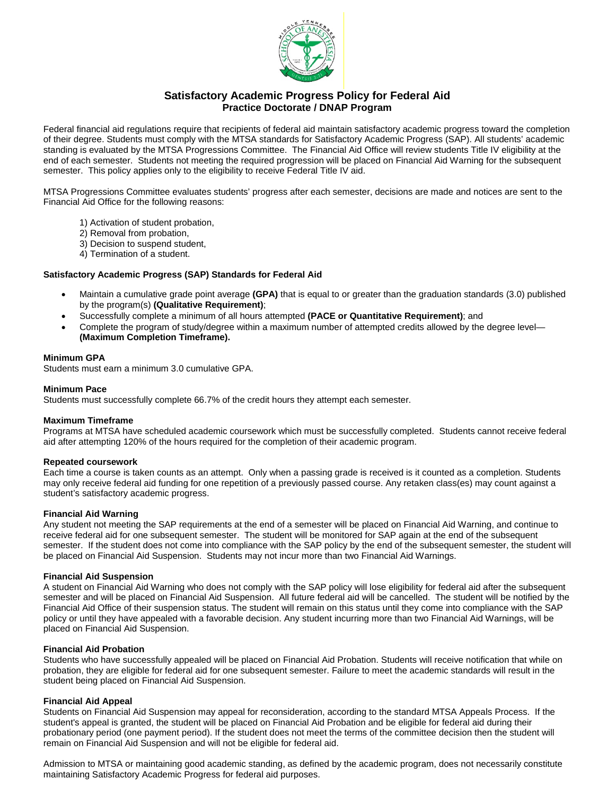

# **Satisfactory Academic Progress Policy for Federal Aid Practice Doctorate / DNAP Program**

Federal financial aid regulations require that recipients of federal aid maintain satisfactory academic progress toward the completion of their degree. Students must comply with the MTSA standards for Satisfactory Academic Progress (SAP). All students' academic standing is evaluated by the MTSA Progressions Committee. The Financial Aid Office will review students Title IV eligibility at the end of each semester. Students not meeting the required progression will be placed on Financial Aid Warning for the subsequent semester. This policy applies only to the eligibility to receive Federal Title IV aid.

MTSA Progressions Committee evaluates students' progress after each semester, decisions are made and notices are sent to the Financial Aid Office for the following reasons:

- 1) Activation of student probation,
- 2) Removal from probation,
- 3) Decision to suspend student,
- 4) Termination of a student.

### **Satisfactory Academic Progress (SAP) Standards for Federal Aid**

- Maintain a cumulative grade point average **(GPA)** that is equal to or greater than the graduation standards (3.0) published by the program(s) **(Qualitative Requirement)**;
- Successfully complete a minimum of all hours attempted **(PACE or Quantitative Requirement)**; and
- Complete the program of study/degree within a maximum number of attempted credits allowed by the degree level— **(Maximum Completion Timeframe).**

#### **Minimum GPA**

Students must earn a minimum 3.0 cumulative GPA.

#### **Minimum Pace**

Students must successfully complete 66.7% of the credit hours they attempt each semester.

### **Maximum Timeframe**

Programs at MTSA have scheduled academic coursework which must be successfully completed. Students cannot receive federal aid after attempting 120% of the hours required for the completion of their academic program.

#### **Repeated coursework**

Each time a course is taken counts as an attempt. Only when a passing grade is received is it counted as a completion. Students may only receive federal aid funding for one repetition of a previously passed course. Any retaken class(es) may count against a student's satisfactory academic progress.

#### **Financial Aid Warning**

Any student not meeting the SAP requirements at the end of a semester will be placed on Financial Aid Warning, and continue to receive federal aid for one subsequent semester. The student will be monitored for SAP again at the end of the subsequent semester. If the student does not come into compliance with the SAP policy by the end of the subsequent semester, the student will be placed on Financial Aid Suspension. Students may not incur more than two Financial Aid Warnings.

#### **Financial Aid Suspension**

A student on Financial Aid Warning who does not comply with the SAP policy will lose eligibility for federal aid after the subsequent semester and will be placed on Financial Aid Suspension. All future federal aid will be cancelled. The student will be notified by the Financial Aid Office of their suspension status. The student will remain on this status until they come into compliance with the SAP policy or until they have appealed with a favorable decision. Any student incurring more than two Financial Aid Warnings, will be placed on Financial Aid Suspension.

### **Financial Aid Probation**

Students who have successfully appealed will be placed on Financial Aid Probation. Students will receive notification that while on probation, they are eligible for federal aid for one subsequent semester. Failure to meet the academic standards will result in the student being placed on Financial Aid Suspension.

### **Financial Aid Appeal**

Students on Financial Aid Suspension may appeal for reconsideration, according to the standard MTSA Appeals Process. If the student's appeal is granted, the student will be placed on Financial Aid Probation and be eligible for federal aid during their probationary period (one payment period). If the student does not meet the terms of the committee decision then the student will remain on Financial Aid Suspension and will not be eligible for federal aid.

Admission to MTSA or maintaining good academic standing, as defined by the academic program, does not necessarily constitute maintaining Satisfactory Academic Progress for federal aid purposes.